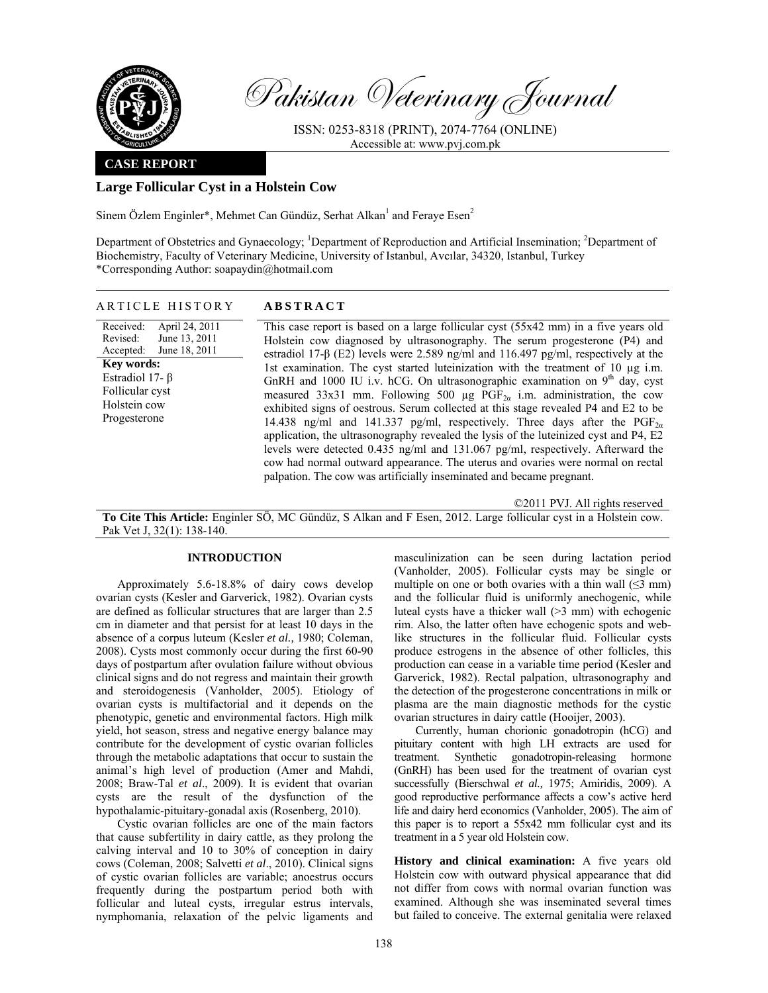

Pakistan Veterinary Journal

ISSN: 0253-8318 (PRINT), 2074-7764 (ONLINE) Accessible at: www.pvj.com.pk

### **CASE REPORT**

# **Large Follicular Cyst in a Holstein Cow**

Sinem Özlem Enginler\*, Mehmet Can Gündüz, Serhat Alkan<sup>1</sup> and Feraye Esen<sup>2</sup>

Department of Obstetrics and Gynaecology; <sup>1</sup>Department of Reproduction and Artificial Insemination; <sup>2</sup>Department of Biochemistry, Faculty of Veterinary Medicine, University of Istanbul, Avcılar, 34320, Istanbul, Turkey \*Corresponding Author: soapaydin@hotmail.com

## ARTICLE HISTORY **ABSTRACT**

Received: Revised: Accepted: April 24, 2011 June 13, 2011 June 18, 2011 **Key words:**  Estradiol 17- β Follicular cyst Holstein cow Progesterone

This case report is based on a large follicular cyst (55x42 mm) in a five years old Holstein cow diagnosed by ultrasonography. The serum progesterone (P4) and estradiol 17-β (E2) levels were 2.589 ng/ml and 116.497 pg/ml, respectively at the 1st examination. The cyst started luteinization with the treatment of 10 µg i.m. GnRH and 1000 IU i.v. hCG. On ultrasonographic examination on  $9<sup>th</sup>$  day, cyst measured 33x31 mm. Following 500 µg  $\overline{PGF}_{2\alpha}$  i.m. administration, the cow exhibited signs of oestrous. Serum collected at this stage revealed P4 and E2 to be 14.438 ng/ml and 141.337 pg/ml, respectively. Three days after the  $PGF_{2\alpha}$ application, the ultrasonography revealed the lysis of the luteinized cyst and P4, E2 levels were detected 0.435 ng/ml and 131.067 pg/ml, respectively. Afterward the cow had normal outward appearance. The uterus and ovaries were normal on rectal

©2011 PVJ. All rights reserved

**To Cite This Article:** Enginler SÖ, MC Gündüz, S Alkan and F Esen, 2012. Large follicular cyst in a Holstein cow. Pak Vet J, 32(1): 138-140.

palpation. The cow was artificially inseminated and became pregnant.

### **INTRODUCTION**

Approximately 5.6-18.8% of dairy cows develop ovarian cysts (Kesler and Garverick, 1982). Ovarian cysts are defined as follicular structures that are larger than 2.5 cm in diameter and that persist for at least 10 days in the absence of a corpus luteum (Kesler *et al.,* 1980; Coleman, 2008). Cysts most commonly occur during the first 60-90 days of postpartum after ovulation failure without obvious clinical signs and do not regress and maintain their growth and steroidogenesis (Vanholder, 2005). Etiology of ovarian cysts is multifactorial and it depends on the phenotypic, genetic and environmental factors. High milk yield, hot season, stress and negative energy balance may contribute for the development of cystic ovarian follicles through the metabolic adaptations that occur to sustain the animal's high level of production (Amer and Mahdi, 2008; Braw-Tal *et al*., 2009). It is evident that ovarian cysts are the result of the dysfunction of the hypothalamic-pituitary-gonadal axis (Rosenberg, 2010).

Cystic ovarian follicles are one of the main factors that cause subfertility in dairy cattle, as they prolong the calving interval and 10 to 30% of conception in dairy cows (Coleman, 2008; Salvetti *et al*., 2010). Clinical signs of cystic ovarian follicles are variable; anoestrus occurs frequently during the postpartum period both with follicular and luteal cysts, irregular estrus intervals, nymphomania, relaxation of the pelvic ligaments and masculinization can be seen during lactation period (Vanholder, 2005). Follicular cysts may be single or multiple on one or both ovaries with a thin wall  $(\leq 3$  mm) and the follicular fluid is uniformly anechogenic, while luteal cysts have a thicker wall (>3 mm) with echogenic rim. Also, the latter often have echogenic spots and weblike structures in the follicular fluid. Follicular cysts produce estrogens in the absence of other follicles, this production can cease in a variable time period (Kesler and Garverick, 1982). Rectal palpation, ultrasonography and the detection of the progesterone concentrations in milk or plasma are the main diagnostic methods for the cystic ovarian structures in dairy cattle (Hooijer, 2003).

Currently, human chorionic gonadotropin (hCG) and pituitary content with high LH extracts are used for treatment. Synthetic gonadotropin-releasing hormone (GnRH) has been used for the treatment of ovarian cyst successfully (Bierschwal *et al.,* 1975; Amiridis, 2009). A good reproductive performance affects a cow's active herd life and dairy herd economics (Vanholder, 2005). The aim of this paper is to report a 55x42 mm follicular cyst and its treatment in a 5 year old Holstein cow.

**History and clinical examination:** A five years old Holstein cow with outward physical appearance that did not differ from cows with normal ovarian function was examined. Although she was inseminated several times but failed to conceive. The external genitalia were relaxed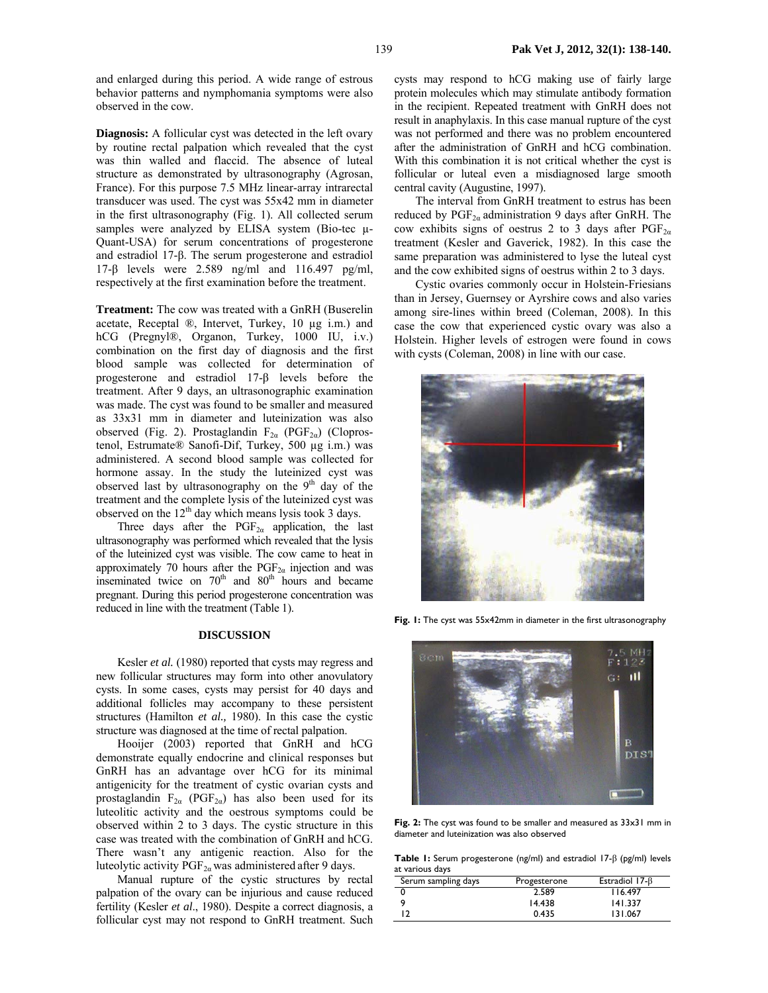and enlarged during this period. A wide range of estrous behavior patterns and nymphomania symptoms were also observed in the cow.

**Diagnosis:** A follicular cyst was detected in the left ovary by routine rectal palpation which revealed that the cyst was thin walled and flaccid. The absence of luteal structure as demonstrated by ultrasonography (Agrosan, France). For this purpose 7.5 MHz linear-array intrarectal transducer was used. The cyst was 55x42 mm in diameter in the first ultrasonography (Fig. 1). All collected serum samples were analyzed by ELISA system (Bio-tec  $\mu$ -Quant-USA) for serum concentrations of progesterone and estradiol 17-β. The serum progesterone and estradiol 17-β levels were 2.589 ng/ml and 116.497 pg/ml, respectively at the first examination before the treatment.

**Treatment:** The cow was treated with a GnRH (Buserelin acetate, Receptal ®, Intervet, Turkey, 10 µg i.m.) and hCG (Pregnyl®, Organon, Turkey, 1000 IU, i.v.) combination on the first day of diagnosis and the first blood sample was collected for determination of progesterone and estradiol 17-β levels before the treatment. After 9 days, an ultrasonographic examination was made. The cyst was found to be smaller and measured as 33x31 mm in diameter and luteinization was also observed (Fig. 2). Prostaglandin  $F_{2\alpha}$  (PGF<sub>2a</sub>) (Cloprostenol, Estrumate® Sanofi-Dif, Turkey, 500 µg i.m.) was administered. A second blood sample was collected for hormone assay. In the study the luteinized cyst was observed last by ultrasonography on the  $9<sup>th</sup>$  day of the treatment and the complete lysis of the luteinized cyst was observed on the  $12<sup>th</sup>$  day which means lysis took 3 days.

Three days after the  $PGF_{2\alpha}$  application, the last ultrasonography was performed which revealed that the lysis of the luteinized cyst was visible. The cow came to heat in approximately 70 hours after the  $PGF_{2a}$  injection and was inseminated twice on  $70<sup>th</sup>$  and  $80<sup>th</sup>$  hours and became pregnant. During this period progesterone concentration was reduced in line with the treatment (Table 1).

#### **DISCUSSION**

Kesler *et al.* (1980) reported that cysts may regress and new follicular structures may form into other anovulatory cysts. In some cases, cysts may persist for 40 days and additional follicles may accompany to these persistent structures (Hamilton *et al.,* 1980). In this case the cystic structure was diagnosed at the time of rectal palpation.

Hooijer (2003) reported that GnRH and hCG demonstrate equally endocrine and clinical responses but GnRH has an advantage over hCG for its minimal antigenicity for the treatment of cystic ovarian cysts and prostaglandin  $F_{2\alpha}$  (PGF<sub>2 $\alpha$ </sub>) has also been used for its luteolitic activity and the oestrous symptoms could be observed within 2 to 3 days. The cystic structure in this case was treated with the combination of GnRH and hCG. There wasn't any antigenic reaction. Also for the luteolytic activity  $PGF_{2\alpha}$  was administered after 9 days.

Manual rupture of the cystic structures by rectal palpation of the ovary can be injurious and cause reduced fertility (Kesler *et al*., 1980). Despite a correct diagnosis, a follicular cyst may not respond to GnRH treatment. Such

cysts may respond to hCG making use of fairly large protein molecules which may stimulate antibody formation in the recipient. Repeated treatment with GnRH does not result in anaphylaxis. In this case manual rupture of the cyst was not performed and there was no problem encountered after the administration of GnRH and hCG combination. With this combination it is not critical whether the cyst is follicular or luteal even a misdiagnosed large smooth central cavity (Augustine, 1997).

The interval from GnRH treatment to estrus has been reduced by  $PGF_{2\alpha}$  administration 9 days after GnRH. The cow exhibits signs of oestrus 2 to 3 days after  $PGF_{2\alpha}$ treatment (Kesler and Gaverick, 1982). In this case the same preparation was administered to lyse the luteal cyst and the cow exhibited signs of oestrus within 2 to 3 days.

Cystic ovaries commonly occur in Holstein-Friesians than in Jersey, Guernsey or Ayrshire cows and also varies among sire-lines within breed (Coleman, 2008). In this case the cow that experienced cystic ovary was also a Holstein. Higher levels of estrogen were found in cows with cysts (Coleman, 2008) in line with our case.



**Fig. 1:** The cyst was 55x42mm in diameter in the first ultrasonography



**Fig. 2:** The cyst was found to be smaller and measured as 33x31 mm in diameter and luteinization was also observed

**Table 1:** Serum progesterone (ng/ml) and estradiol 17-β (pg/ml) levels at various days

| Serum sampling days | Progesterone | Estradiol $17-\beta$ |
|---------------------|--------------|----------------------|
|                     | 2.589        | 116.497              |
|                     | 14.438       | 141.337              |
|                     | 0.435        | 131.067              |